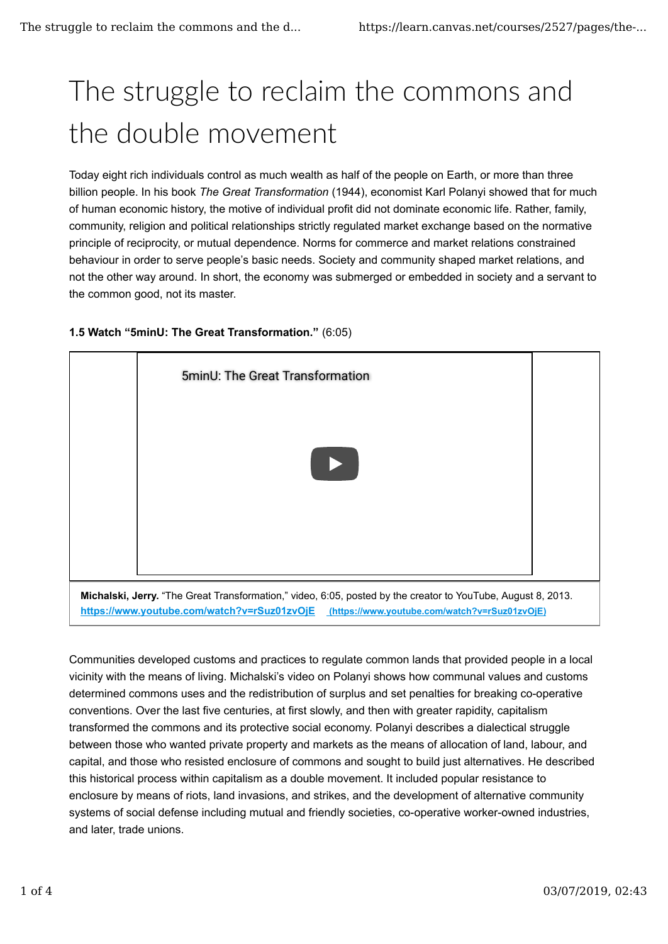## The struggle to reclaim the commons and the double movement

Today eight rich individuals control as much wealth as half of the people on Earth, or more than three billion people. In his book *The Great Transformation* (1944), economist Karl Polanyi showed that for much of human economic history, the motive of individual profit did not dominate economic life. Rather, family, community, religion and political relationships strictly regulated market exchange based on the normative principle of reciprocity, or mutual dependence. Norms for commerce and market relations constrained behaviour in order to serve people's basic needs. Society and community shaped market relations, and not the other way around. In short, the economy was submerged or embedded in society and a servant to the common good, not its master.



## **1.5 Watch "5minU: The Great Transformation."** (6:05)

Communities developed customs and practices to regulate common lands that provided people in a local vicinity with the means of living. Michalski's video on Polanyi shows how communal values and customs determined commons uses and the redistribution of surplus and set penalties for breaking co-operative conventions. Over the last five centuries, at first slowly, and then with greater rapidity, capitalism transformed the commons and its protective social economy. Polanyi describes a dialectical struggle between those who wanted private property and markets as the means of allocation of land, labour, and capital, and those who resisted enclosure of commons and sought to build just alternatives. He described this historical process within capitalism as a double movement. It included popular resistance to enclosure by means of riots, land invasions, and strikes, and the development of alternative community systems of social defense including mutual and friendly societies, co-operative worker-owned industries, and later, trade unions.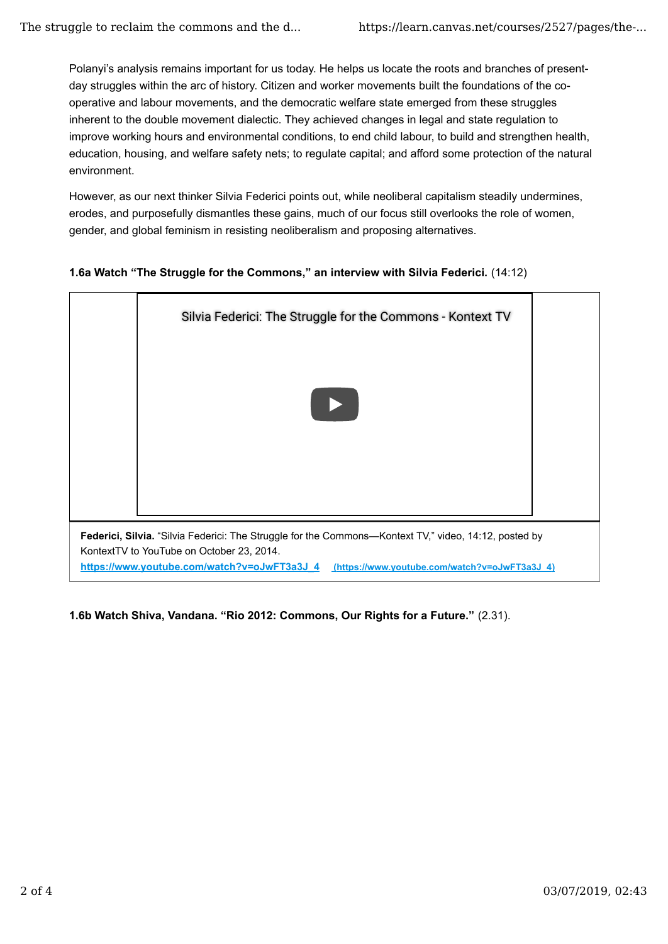Polanyi's analysis remains important for us today. He helps us locate the roots and branches of presentday struggles within the arc of history. Citizen and worker movements built the foundations of the cooperative and labour movements, and the democratic welfare state emerged from these struggles inherent to the double movement dialectic. They achieved changes in legal and state regulation to improve working hours and environmental conditions, to end child labour, to build and strengthen health, education, housing, and welfare safety nets; to regulate capital; and afford some protection of the natural environment.

However, as our next thinker Silvia Federici points out, while neoliberal capitalism steadily undermines, erodes, and purposefully dismantles these gains, much of our focus still overlooks the role of women, gender, and global feminism in resisting neoliberalism and proposing alternatives.

## **1.6a Watch "The Struggle for the Commons," an interview with Silvia Federici.** (14:12)



**1.6b Watch Shiva, Vandana. "Rio 2012: Commons, Our Rights for a Future."** (2.31).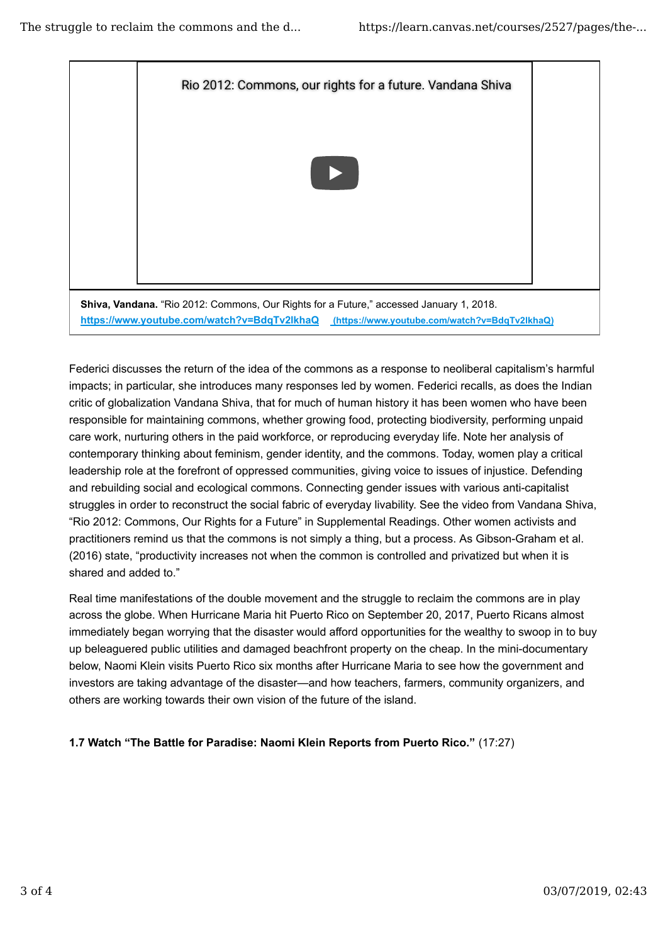

Federici discusses the return of the idea of the commons as a response to neoliberal capitalism's harmful impacts; in particular, she introduces many responses led by women. Federici recalls, as does the Indian critic of globalization Vandana Shiva, that for much of human history it has been women who have been responsible for maintaining commons, whether growing food, protecting biodiversity, performing unpaid care work, nurturing others in the paid workforce, or reproducing everyday life. Note her analysis of contemporary thinking about feminism, gender identity, and the commons. Today, women play a critical leadership role at the forefront of oppressed communities, giving voice to issues of injustice. Defending and rebuilding social and ecological commons. Connecting gender issues with various anti-capitalist struggles in order to reconstruct the social fabric of everyday livability. See the video from Vandana Shiva, "Rio 2012: Commons, Our Rights for a Future" in Supplemental Readings. Other women activists and practitioners remind us that the commons is not simply a thing, but a process. As Gibson-Graham et al. (2016) state, "productivity increases not when the common is controlled and privatized but when it is shared and added to."

Real time manifestations of the double movement and the struggle to reclaim the commons are in play across the globe. When Hurricane Maria hit Puerto Rico on September 20, 2017, Puerto Ricans almost immediately began worrying that the disaster would afford opportunities for the wealthy to swoop in to buy up beleaguered public utilities and damaged beachfront property on the cheap. In the mini-documentary below, Naomi Klein visits Puerto Rico six months after Hurricane Maria to see how the government and investors are taking advantage of the disaster—and how teachers, farmers, community organizers, and others are working towards their own vision of the future of the island.

**1.7 Watch "The Battle for Paradise: Naomi Klein Reports from Puerto Rico."** (17:27)